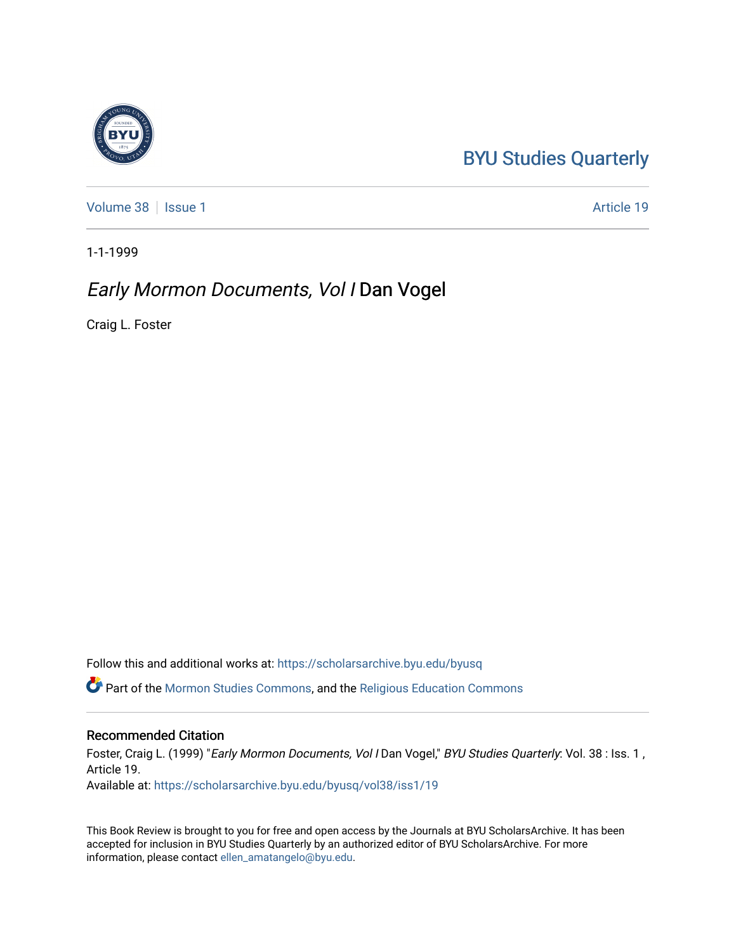## [BYU Studies Quarterly](https://scholarsarchive.byu.edu/byusq)

[Volume 38](https://scholarsarchive.byu.edu/byusq/vol38) | [Issue 1](https://scholarsarchive.byu.edu/byusq/vol38/iss1) Article 19

1-1-1999

## Early Mormon Documents, Vol I Dan Vogel

Craig L. Foster

Follow this and additional works at: [https://scholarsarchive.byu.edu/byusq](https://scholarsarchive.byu.edu/byusq?utm_source=scholarsarchive.byu.edu%2Fbyusq%2Fvol38%2Fiss1%2F19&utm_medium=PDF&utm_campaign=PDFCoverPages) 

Part of the [Mormon Studies Commons](http://network.bepress.com/hgg/discipline/1360?utm_source=scholarsarchive.byu.edu%2Fbyusq%2Fvol38%2Fiss1%2F19&utm_medium=PDF&utm_campaign=PDFCoverPages), and the [Religious Education Commons](http://network.bepress.com/hgg/discipline/1414?utm_source=scholarsarchive.byu.edu%2Fbyusq%2Fvol38%2Fiss1%2F19&utm_medium=PDF&utm_campaign=PDFCoverPages) 

## Recommended Citation

Foster, Craig L. (1999) "Early Mormon Documents, Vol I Dan Vogel," BYU Studies Quarterly: Vol. 38 : Iss. 1, Article 19. Available at: [https://scholarsarchive.byu.edu/byusq/vol38/iss1/19](https://scholarsarchive.byu.edu/byusq/vol38/iss1/19?utm_source=scholarsarchive.byu.edu%2Fbyusq%2Fvol38%2Fiss1%2F19&utm_medium=PDF&utm_campaign=PDFCoverPages) 

This Book Review is brought to you for free and open access by the Journals at BYU ScholarsArchive. It has been accepted for inclusion in BYU Studies Quarterly by an authorized editor of BYU ScholarsArchive. For more information, please contact [ellen\\_amatangelo@byu.edu.](mailto:ellen_amatangelo@byu.edu)

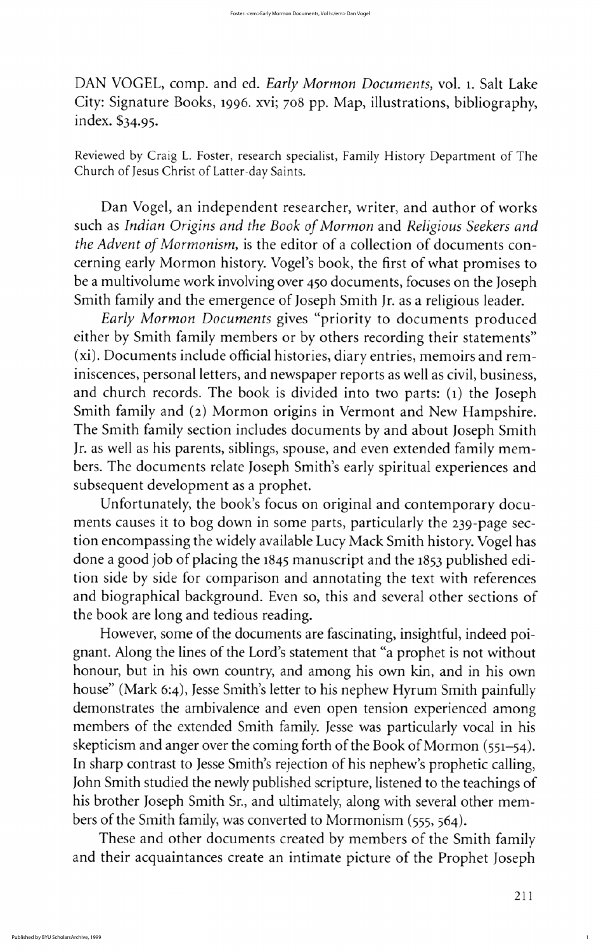These and other documents created by members of the Smith family and their acquaintances create an intimate picture of the prophet joseph

1

DAN VOGEL, comp. and ed. Early Mormon Documents, vol. 1. Salt Lake City: Signature Books, 1996. xvi; 708 pp. Map, illustrations, bibliography, index. \$34.95.

Reviewed by Craig L. Foster, research specialist, Family History Department of The Church of Jesus Christ of Latter-day Saints.

Dan Vogel, an independent researcher, writer, and author of works such as Indian Origins and the Book of Mormon and Religious Seekers and the Advent of Mormonism, is the editor of a collection of documents concerning early Mormon history. Vogel's book, the first of what promises to be a multivolume work involving over 450 documents, focuses on the Joseph Smith family and the emergence of Joseph Smith Jr. as a religious leader.

Early Mormon Documents gives "priority to documents produced either by Smith family members or by others recording their statements" (xi). Documents include official histories, diary entries, memoirs and reminiscences, personal letters, and newspaper reports as well as civil, business, and church records. The book is divided into two parts:  $(i)$  the Joseph Smith family and (2) Mormon origins in Vermont and New Hampshire. The Smith family section includes documents by and about Joseph Smith Jr. as well as his parents, siblings, spouse, and even extended family members. The documents relate Joseph Smith's early spiritual experiences and subsequent development as a prophet Unfortunately, the book's focus on original and contemporary documents causes it to bog down in some parts, particularly the 239-page section encompassing the widely available Lucy Mack Smith history. Vogel has done a good job of placing the 1845 manuscript and the <sup>1853</sup> published edition side by side for comparison and annotating the text with references and biographical background. Even so, this and several other sections of the book are long and tedious reading However, some of the documents are fascinating, insightful, indeed poignant. Along the lines of the Lord's statement that "a prophet is not without honour, but in his own country, and among his own kin, and in his own house" (Mark 6:4), Jesse Smith's letter to his nephew Hyrum Smith painfully demonstrates the ambivalence and even open tension experienced among members of the extended Smith family. Jesse was particularly vocal in his skepticism and anger over the coming forth of the Book of Mormon  $(551 - 54)$ . In sharp contrast to Jesse Smith's rejection of his nephew's prophetic calling, John Smith studied the newly published scripture, listened to the teachings of his brother Joseph Smith Sr., and ultimately, along with several other members of the Smith family, was converted to Mormonism (555, 564).